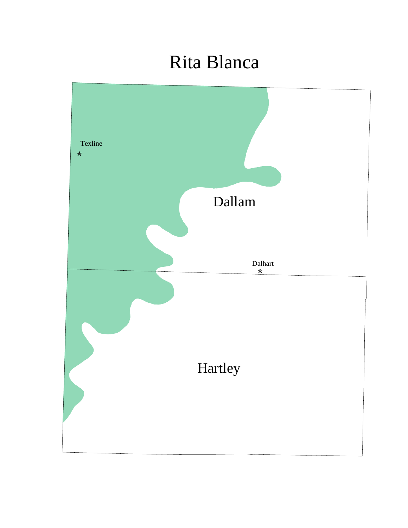## Rita Blanca